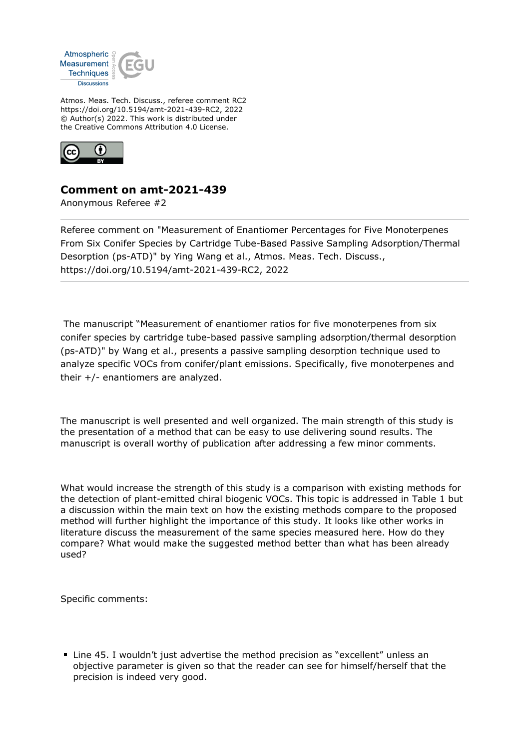

Atmos. Meas. Tech. Discuss., referee comment RC2 https://doi.org/10.5194/amt-2021-439-RC2, 2022 © Author(s) 2022. This work is distributed under the Creative Commons Attribution 4.0 License.



## **Comment on amt-2021-439**

Anonymous Referee #2

Referee comment on "Measurement of Enantiomer Percentages for Five Monoterpenes From Six Conifer Species by Cartridge Tube-Based Passive Sampling Adsorption/Thermal Desorption (ps-ATD)" by Ying Wang et al., Atmos. Meas. Tech. Discuss., https://doi.org/10.5194/amt-2021-439-RC2, 2022

 The manuscript "Measurement of enantiomer ratios for five monoterpenes from six conifer species by cartridge tube-based passive sampling adsorption/thermal desorption (ps-ATD)" by Wang et al., presents a passive sampling desorption technique used to analyze specific VOCs from conifer/plant emissions. Specifically, five monoterpenes and their +/- enantiomers are analyzed.

The manuscript is well presented and well organized. The main strength of this study is the presentation of a method that can be easy to use delivering sound results. The manuscript is overall worthy of publication after addressing a few minor comments.

What would increase the strength of this study is a comparison with existing methods for the detection of plant-emitted chiral biogenic VOCs. This topic is addressed in Table 1 but a discussion within the main text on how the existing methods compare to the proposed method will further highlight the importance of this study. It looks like other works in literature discuss the measurement of the same species measured here. How do they compare? What would make the suggested method better than what has been already used?

Specific comments:

■ Line 45. I wouldn't just advertise the method precision as "excellent" unless an objective parameter is given so that the reader can see for himself/herself that the precision is indeed very good.